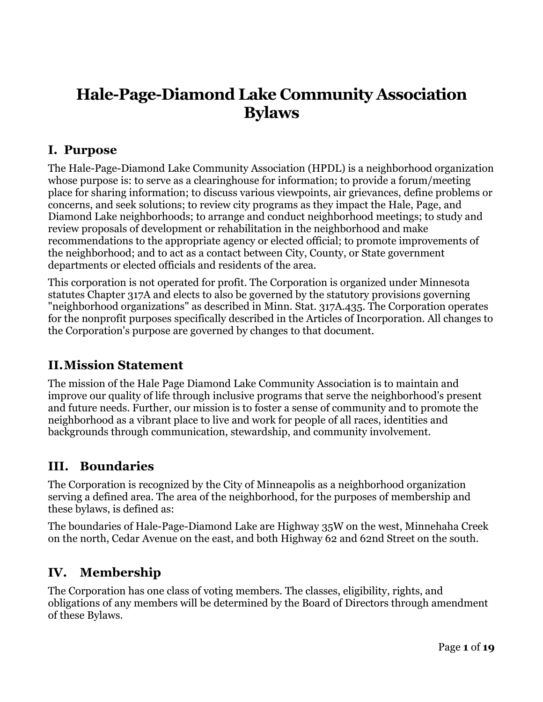# **Hale-Page-Diamond Lake Community Association Bylaws**

### **I. Purpose**

The Hale-Page-Diamond Lake Community Association (HPDL) is a neighborhood organization whose purpose is: to serve as a clearinghouse for information; to provide a forum/meeting place for sharing information; to discuss various viewpoints, air grievances, define problems or concerns, and seek solutions; to review city programs as they impact the Hale, Page, and Diamond Lake neighborhoods; to arrange and conduct neighborhood meetings; to study and review proposals of development or rehabilitation in the neighborhood and make recommendations to the appropriate agency or elected official; to promote improvements of the neighborhood; and to act as a contact between City, County, or State government departments or elected officials and residents of the area.

This corporation is not operated for profit. The Corporation is organized under Minnesota statutes Chapter 317A and elects to also be governed by the statutory provisions governing "neighborhood organizations" as described in Minn. Stat. 317A.435. The Corporation operates for the nonprofit purposes specifically described in the Articles of Incorporation. All changes to the Corporation's purpose are governed by changes to that document.

### **II.Mission Statement**

The mission of the Hale Page Diamond Lake Community Association is to maintain and improve our quality of life through inclusive programs that serve the neighborhood's present and future needs. Further, our mission is to foster a sense of community and to promote the neighborhood as a vibrant place to live and work for people of all races, identities and backgrounds through communication, stewardship, and community involvement.

### **III. Boundaries**

The Corporation is recognized by the City of Minneapolis as a neighborhood organization serving a defined area. The area of the neighborhood, for the purposes of membership and these bylaws, is defined as:

The boundaries of Hale-Page-Diamond Lake are Highway 35W on the west, Minnehaha Creek on the north, Cedar Avenue on the east, and both Highway 62 and 62nd Street on the south.

### **IV. Membership**

The Corporation has one class of voting members. The classes, eligibility, rights, and obligations of any members will be determined by the Board of Directors through amendment of these Bylaws.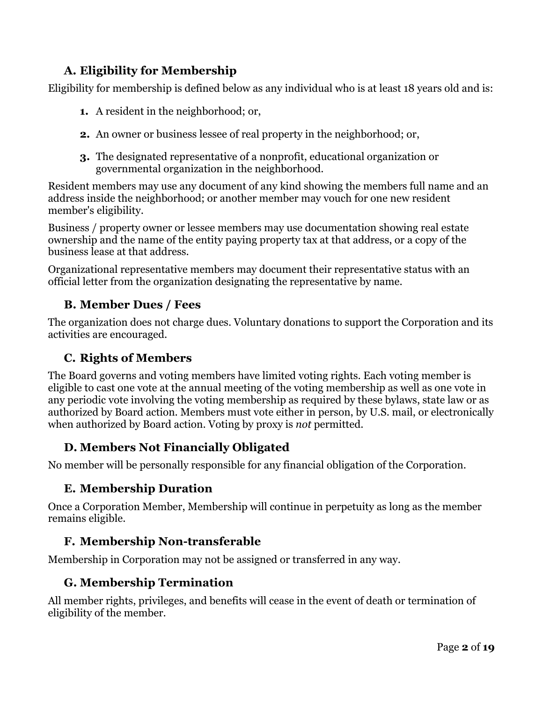### **A. Eligibility for Membership**

Eligibility for membership is defined below as any individual who is at least 18 years old and is:

- **1.** A resident in the neighborhood; or,
- **2.** An owner or business lessee of real property in the neighborhood; or,
- **3.** The designated representative of a nonprofit, educational organization or governmental organization in the neighborhood.

Resident members may use any document of any kind showing the members full name and an address inside the neighborhood; or another member may vouch for one new resident member's eligibility.

Business / property owner or lessee members may use documentation showing real estate ownership and the name of the entity paying property tax at that address, or a copy of the business lease at that address.

Organizational representative members may document their representative status with an official letter from the organization designating the representative by name.

### **B. Member Dues / Fees**

The organization does not charge dues. Voluntary donations to support the Corporation and its activities are encouraged.

### **C. Rights of Members**

The Board governs and voting members have limited voting rights. Each voting member is eligible to cast one vote at the annual meeting of the voting membership as well as one vote in any periodic vote involving the voting membership as required by these bylaws, state law or as authorized by Board action. Members must vote either in person, by U.S. mail, or electronically when authorized by Board action. Voting by proxy is *not* permitted.

### **D. Members Not Financially Obligated**

No member will be personally responsible for any financial obligation of the Corporation.

### **E. Membership Duration**

Once a Corporation Member, Membership will continue in perpetuity as long as the member remains eligible.

### **F. Membership Non-transferable**

Membership in Corporation may not be assigned or transferred in any way.

#### **G. Membership Termination**

All member rights, privileges, and benefits will cease in the event of death or termination of eligibility of the member.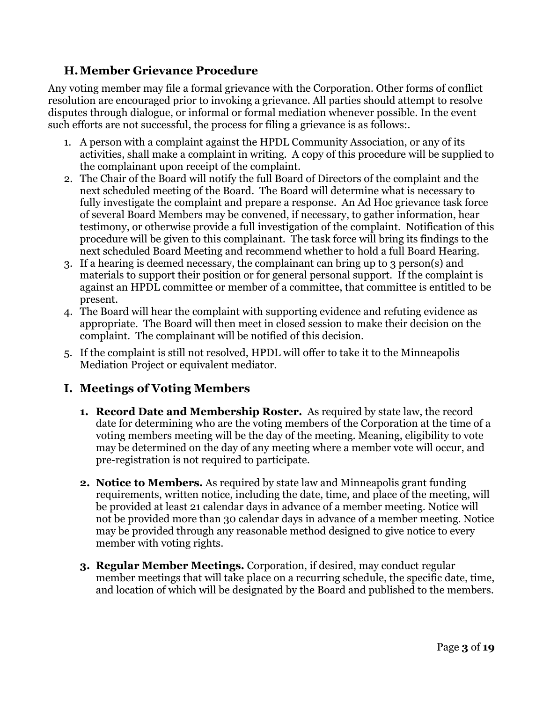### **H.Member Grievance Procedure**

Any voting member may file a formal grievance with the Corporation. Other forms of conflict resolution are encouraged prior to invoking a grievance. All parties should attempt to resolve disputes through dialogue, or informal or formal mediation whenever possible. In the event such efforts are not successful, the process for filing a grievance is as follows:.

- 1. A person with a complaint against the HPDL Community Association, or any of its activities, shall make a complaint in writing. A copy of this procedure will be supplied to the complainant upon receipt of the complaint.
- 2. The Chair of the Board will notify the full Board of Directors of the complaint and the next scheduled meeting of the Board. The Board will determine what is necessary to fully investigate the complaint and prepare a response. An Ad Hoc grievance task force of several Board Members may be convened, if necessary, to gather information, hear testimony, or otherwise provide a full investigation of the complaint. Notification of this procedure will be given to this complainant. The task force will bring its findings to the next scheduled Board Meeting and recommend whether to hold a full Board Hearing.
- 3. If a hearing is deemed necessary, the complainant can bring up to 3 person(s) and materials to support their position or for general personal support. If the complaint is against an HPDL committee or member of a committee, that committee is entitled to be present.
- 4. The Board will hear the complaint with supporting evidence and refuting evidence as appropriate. The Board will then meet in closed session to make their decision on the complaint. The complainant will be notified of this decision.
- 5. If the complaint is still not resolved, HPDL will offer to take it to the Minneapolis Mediation Project or equivalent mediator.

### **I. Meetings of Voting Members**

- **1. Record Date and Membership Roster.** As required by state law, the record date for determining who are the voting members of the Corporation at the time of a voting members meeting will be the day of the meeting. Meaning, eligibility to vote may be determined on the day of any meeting where a member vote will occur, and pre-registration is not required to participate.
- **2. Notice to Members.** As required by state law and Minneapolis grant funding requirements, written notice, including the date, time, and place of the meeting, will be provided at least 21 calendar days in advance of a member meeting. Notice will not be provided more than 30 calendar days in advance of a member meeting. Notice may be provided through any reasonable method designed to give notice to every member with voting rights.
- **3. Regular Member Meetings.** Corporation, if desired, may conduct regular member meetings that will take place on a recurring schedule, the specific date, time, and location of which will be designated by the Board and published to the members.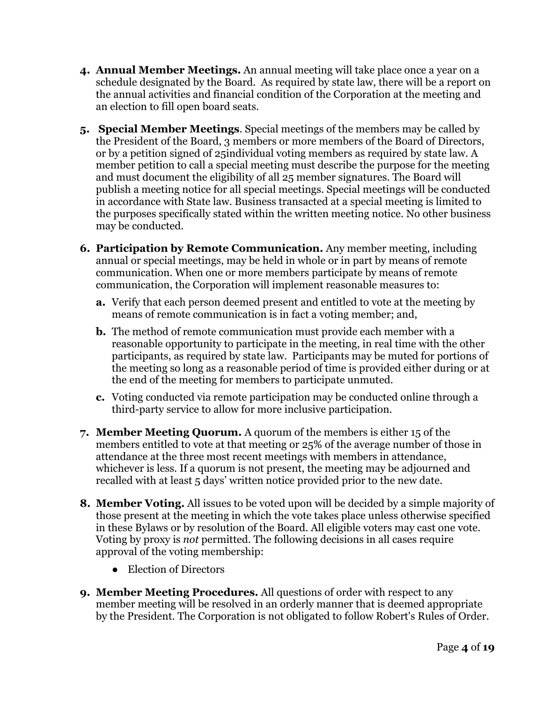- **4. Annual Member Meetings.** An annual meeting will take place once a year on a schedule designated by the Board. As required by state law, there will be a report on the annual activities and financial condition of the Corporation at the meeting and an election to fill open board seats.
- **5. Special Member Meetings**. Special meetings of the members may be called by the President of the Board, 3 members or more members of the Board of Directors, or by a petition signed of 25individual voting members as required by state law. A member petition to call a special meeting must describe the purpose for the meeting and must document the eligibility of all 25 member signatures. The Board will publish a meeting notice for all special meetings. Special meetings will be conducted in accordance with State law. Business transacted at a special meeting is limited to the purposes specifically stated within the written meeting notice. No other business may be conducted.
- **6. Participation by Remote Communication.** Any member meeting, including annual or special meetings, may be held in whole or in part by means of remote communication. When one or more members participate by means of remote communication, the Corporation will implement reasonable measures to:
	- **a.** Verify that each person deemed present and entitled to vote at the meeting by means of remote communication is in fact a voting member; and,
	- **b.** The method of remote communication must provide each member with a reasonable opportunity to participate in the meeting, in real time with the other participants, as required by state law. Participants may be muted for portions of the meeting so long as a reasonable period of time is provided either during or at the end of the meeting for members to participate unmuted.
	- **c.** Voting conducted via remote participation may be conducted online through a third-party service to allow for more inclusive participation.
- **7. Member Meeting Quorum.** A quorum of the members is either 15 of the members entitled to vote at that meeting or 25% of the average number of those in attendance at the three most recent meetings with members in attendance, whichever is less. If a quorum is not present, the meeting may be adjourned and recalled with at least 5 days' written notice provided prior to the new date.
- **8. Member Voting.** All issues to be voted upon will be decided by a simple majority of those present at the meeting in which the vote takes place unless otherwise specified in these Bylaws or by resolution of the Board. All eligible voters may cast one vote. Voting by proxy is *not* permitted. The following decisions in all cases require approval of the voting membership:
	- Election of Directors
- **9. Member Meeting Procedures.** All questions of order with respect to any member meeting will be resolved in an orderly manner that is deemed appropriate by the President. The Corporation is not obligated to follow Robert's Rules of Order.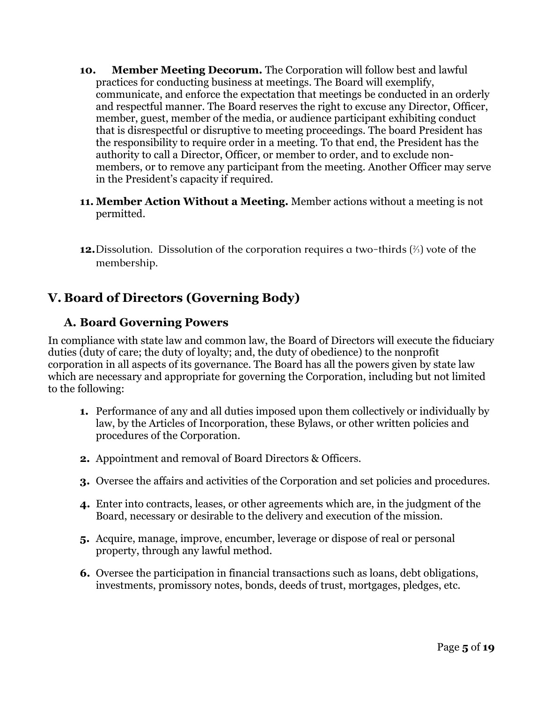- **10. Member Meeting Decorum.** The Corporation will follow best and lawful practices for conducting business at meetings. The Board will exemplify, communicate, and enforce the expectation that meetings be conducted in an orderly and respectful manner. The Board reserves the right to excuse any Director, Officer, member, guest, member of the media, or audience participant exhibiting conduct that is disrespectful or disruptive to meeting proceedings. The board President has the responsibility to require order in a meeting. To that end, the President has the authority to call a Director, Officer, or member to order, and to exclude nonmembers, or to remove any participant from the meeting. Another Officer may serve in the President's capacity if required.
- **11. Member Action Without a Meeting.** Member actions without a meeting is not permitted.
- **12.**Dissolution. Dissolution of the corporation requires a two-thirds  $\binom{2}{3}$  vote of the membership.

# **V. Board of Directors (Governing Body)**

### **A. Board Governing Powers**

In compliance with state law and common law, the Board of Directors will execute the fiduciary duties (duty of care; the duty of loyalty; and, the duty of obedience) to the nonprofit corporation in all aspects of its governance. The Board has all the powers given by state law which are necessary and appropriate for governing the Corporation, including but not limited to the following:

- **1.** Performance of any and all duties imposed upon them collectively or individually by law, by the Articles of Incorporation, these Bylaws, or other written policies and procedures of the Corporation.
- **2.** Appointment and removal of Board Directors & Officers.
- **3.** Oversee the affairs and activities of the Corporation and set policies and procedures.
- **4.** Enter into contracts, leases, or other agreements which are, in the judgment of the Board, necessary or desirable to the delivery and execution of the mission.
- **5.** Acquire, manage, improve, encumber, leverage or dispose of real or personal property, through any lawful method.
- **6.** Oversee the participation in financial transactions such as loans, debt obligations, investments, promissory notes, bonds, deeds of trust, mortgages, pledges, etc.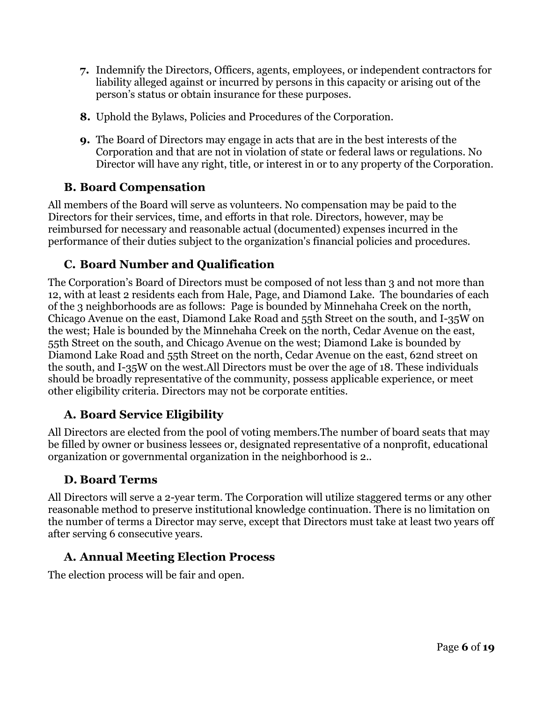- **7.** Indemnify the Directors, Officers, agents, employees, or independent contractors for liability alleged against or incurred by persons in this capacity or arising out of the person's status or obtain insurance for these purposes.
- **8.** Uphold the Bylaws, Policies and Procedures of the Corporation.
- **9.** The Board of Directors may engage in acts that are in the best interests of the Corporation and that are not in violation of state or federal laws or regulations. No Director will have any right, title, or interest in or to any property of the Corporation.

### **B. Board Compensation**

All members of the Board will serve as volunteers. No compensation may be paid to the Directors for their services, time, and efforts in that role. Directors, however, may be reimbursed for necessary and reasonable actual (documented) expenses incurred in the performance of their duties subject to the organization's financial policies and procedures.

### **C. Board Number and Qualification**

The Corporation's Board of Directors must be composed of not less than 3 and not more than 12, with at least 2 residents each from Hale, Page, and Diamond Lake. The boundaries of each of the 3 neighborhoods are as follows: Page is bounded by Minnehaha Creek on the north, Chicago Avenue on the east, Diamond Lake Road and 55th Street on the south, and I-35W on the west; Hale is bounded by the Minnehaha Creek on the north, Cedar Avenue on the east, 55th Street on the south, and Chicago Avenue on the west; Diamond Lake is bounded by Diamond Lake Road and 55th Street on the north, Cedar Avenue on the east, 62nd street on the south, and I-35W on the west.All Directors must be over the age of 18. These individuals should be broadly representative of the community, possess applicable experience, or meet other eligibility criteria. Directors may not be corporate entities.

### **A. Board Service Eligibility**

All Directors are elected from the pool of voting members.The number of board seats that may be filled by owner or business lessees or, designated representative of a nonprofit, educational organization or governmental organization in the neighborhood is 2..

#### **D. Board Terms**

All Directors will serve a 2-year term. The Corporation will utilize staggered terms or any other reasonable method to preserve institutional knowledge continuation. There is no limitation on the number of terms a Director may serve, except that Directors must take at least two years off after serving 6 consecutive years.

#### **A. Annual Meeting Election Process**

The election process will be fair and open.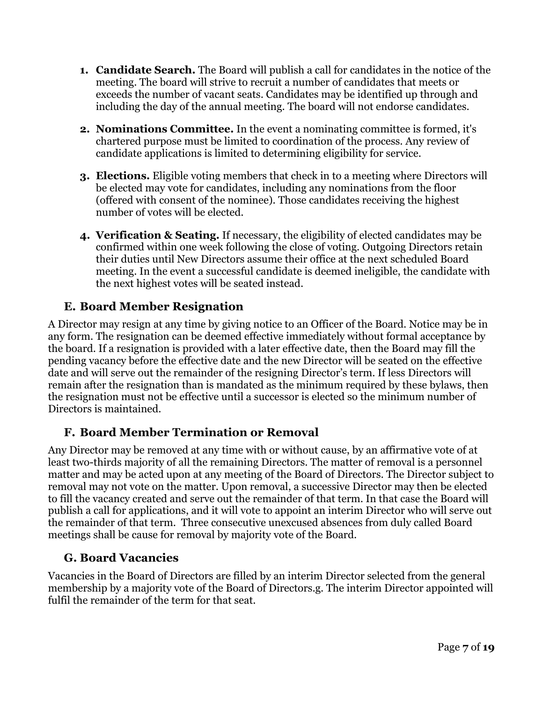- **1. Candidate Search.** The Board will publish a call for candidates in the notice of the meeting. The board will strive to recruit a number of candidates that meets or exceeds the number of vacant seats. Candidates may be identified up through and including the day of the annual meeting. The board will not endorse candidates.
- **2. Nominations Committee.** In the event a nominating committee is formed, it's chartered purpose must be limited to coordination of the process. Any review of candidate applications is limited to determining eligibility for service.
- **3. Elections.** Eligible voting members that check in to a meeting where Directors will be elected may vote for candidates, including any nominations from the floor (offered with consent of the nominee). Those candidates receiving the highest number of votes will be elected.
- **4. Verification & Seating.** If necessary, the eligibility of elected candidates may be confirmed within one week following the close of voting. Outgoing Directors retain their duties until New Directors assume their office at the next scheduled Board meeting. In the event a successful candidate is deemed ineligible, the candidate with the next highest votes will be seated instead.

### **E. Board Member Resignation**

A Director may resign at any time by giving notice to an Officer of the Board. Notice may be in any form. The resignation can be deemed effective immediately without formal acceptance by the board. If a resignation is provided with a later effective date, then the Board may fill the pending vacancy before the effective date and the new Director will be seated on the effective date and will serve out the remainder of the resigning Director's term. If less Directors will remain after the resignation than is mandated as the minimum required by these bylaws, then the resignation must not be effective until a successor is elected so the minimum number of Directors is maintained.

#### **F. Board Member Termination or Removal**

Any Director may be removed at any time with or without cause, by an affirmative vote of at least two-thirds majority of all the remaining Directors. The matter of removal is a personnel matter and may be acted upon at any meeting of the Board of Directors. The Director subject to removal may not vote on the matter. Upon removal, a successive Director may then be elected to fill the vacancy created and serve out the remainder of that term. In that case the Board will publish a call for applications, and it will vote to appoint an interim Director who will serve out the remainder of that term. Three consecutive unexcused absences from duly called Board meetings shall be cause for removal by majority vote of the Board.

#### **G. Board Vacancies**

Vacancies in the Board of Directors are filled by an interim Director selected from the general membership by a majority vote of the Board of Directors.g. The interim Director appointed will fulfil the remainder of the term for that seat.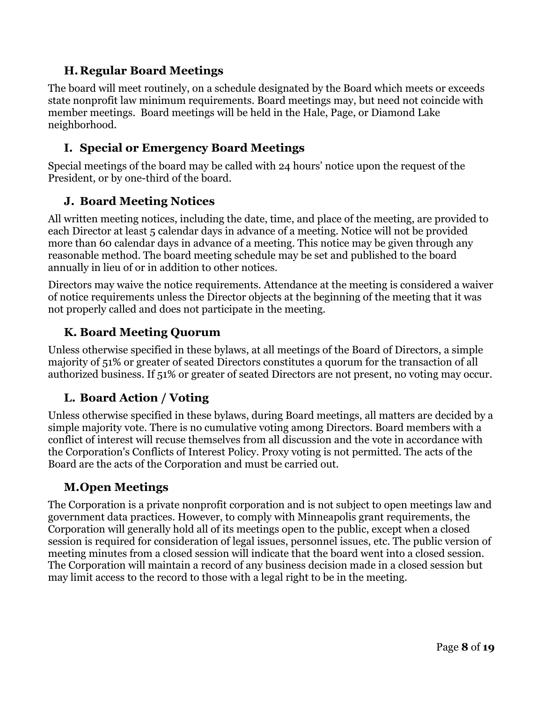### **H.Regular Board Meetings**

The board will meet routinely, on a schedule designated by the Board which meets or exceeds state nonprofit law minimum requirements. Board meetings may, but need not coincide with member meetings. Board meetings will be held in the Hale, Page, or Diamond Lake neighborhood.

### **I. Special or Emergency Board Meetings**

Special meetings of the board may be called with 24 hours' notice upon the request of the President, or by one-third of the board.

### **J. Board Meeting Notices**

All written meeting notices, including the date, time, and place of the meeting, are provided to each Director at least 5 calendar days in advance of a meeting. Notice will not be provided more than 60 calendar days in advance of a meeting. This notice may be given through any reasonable method. The board meeting schedule may be set and published to the board annually in lieu of or in addition to other notices.

Directors may waive the notice requirements. Attendance at the meeting is considered a waiver of notice requirements unless the Director objects at the beginning of the meeting that it was not properly called and does not participate in the meeting.

### **K. Board Meeting Quorum**

Unless otherwise specified in these bylaws, at all meetings of the Board of Directors, a simple majority of 51% or greater of seated Directors constitutes a quorum for the transaction of all authorized business. If 51% or greater of seated Directors are not present, no voting may occur.

### **L. Board Action / Voting**

Unless otherwise specified in these bylaws, during Board meetings, all matters are decided by a simple majority vote. There is no cumulative voting among Directors. Board members with a conflict of interest will recuse themselves from all discussion and the vote in accordance with the Corporation's Conflicts of Interest Policy. Proxy voting is not permitted. The acts of the Board are the acts of the Corporation and must be carried out.

### **M.Open Meetings**

The Corporation is a private nonprofit corporation and is not subject to open meetings law and government data practices. However, to comply with Minneapolis grant requirements, the Corporation will generally hold all of its meetings open to the public, except when a closed session is required for consideration of legal issues, personnel issues, etc. The public version of meeting minutes from a closed session will indicate that the board went into a closed session. The Corporation will maintain a record of any business decision made in a closed session but may limit access to the record to those with a legal right to be in the meeting.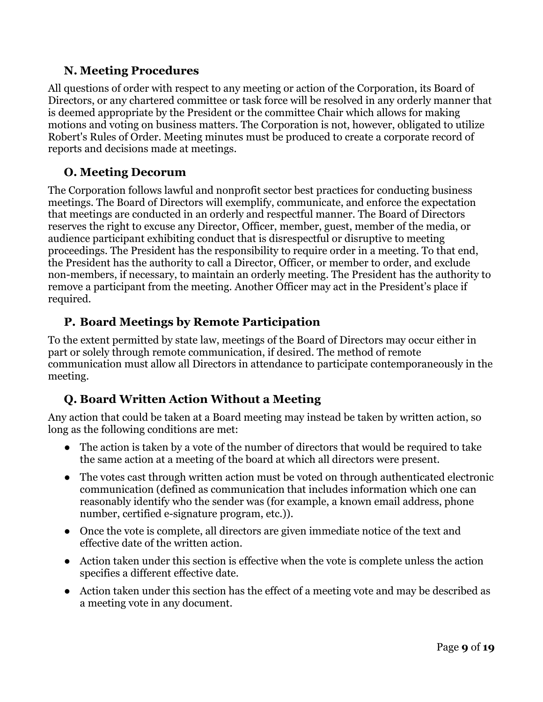### **N. Meeting Procedures**

All questions of order with respect to any meeting or action of the Corporation, its Board of Directors, or any chartered committee or task force will be resolved in any orderly manner that is deemed appropriate by the President or the committee Chair which allows for making motions and voting on business matters. The Corporation is not, however, obligated to utilize Robert's Rules of Order. Meeting minutes must be produced to create a corporate record of reports and decisions made at meetings.

### **O. Meeting Decorum**

The Corporation follows lawful and nonprofit sector best practices for conducting business meetings. The Board of Directors will exemplify, communicate, and enforce the expectation that meetings are conducted in an orderly and respectful manner. The Board of Directors reserves the right to excuse any Director, Officer, member, guest, member of the media, or audience participant exhibiting conduct that is disrespectful or disruptive to meeting proceedings. The President has the responsibility to require order in a meeting. To that end, the President has the authority to call a Director, Officer, or member to order, and exclude non-members, if necessary, to maintain an orderly meeting. The President has the authority to remove a participant from the meeting. Another Officer may act in the President's place if required.

### **P. Board Meetings by Remote Participation**

To the extent permitted by state law, meetings of the Board of Directors may occur either in part or solely through remote communication, if desired. The method of remote communication must allow all Directors in attendance to participate contemporaneously in the meeting.

### **Q. Board Written Action Without a Meeting**

Any action that could be taken at a Board meeting may instead be taken by written action, so long as the following conditions are met:

- The action is taken by a vote of the number of directors that would be required to take the same action at a meeting of the board at which all directors were present.
- The votes cast through written action must be voted on through authenticated electronic communication (defined as communication that includes information which one can reasonably identify who the sender was (for example, a known email address, phone number, certified e-signature program, etc.)).
- Once the vote is complete, all directors are given immediate notice of the text and effective date of the written action.
- Action taken under this section is effective when the vote is complete unless the action specifies a different effective date.
- Action taken under this section has the effect of a meeting vote and may be described as a meeting vote in any document.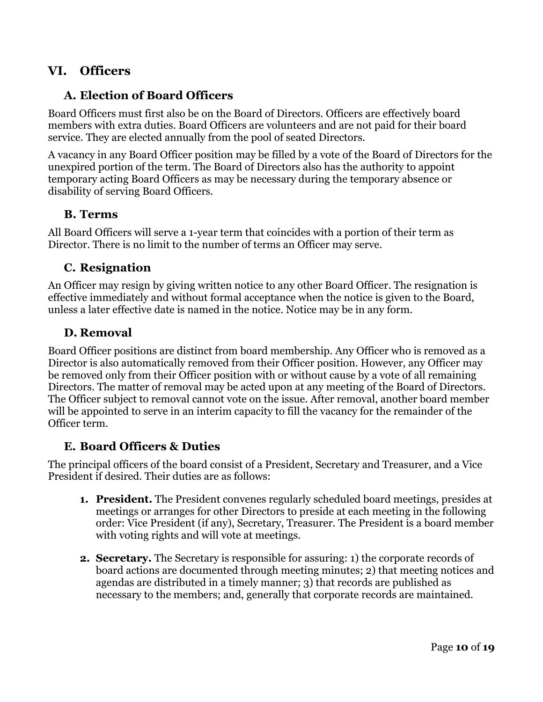### **VI. Officers**

#### **A. Election of Board Officers**

Board Officers must first also be on the Board of Directors. Officers are effectively board members with extra duties. Board Officers are volunteers and are not paid for their board service. They are elected annually from the pool of seated Directors.

A vacancy in any Board Officer position may be filled by a vote of the Board of Directors for the unexpired portion of the term. The Board of Directors also has the authority to appoint temporary acting Board Officers as may be necessary during the temporary absence or disability of serving Board Officers.

#### **B. Terms**

All Board Officers will serve a 1-year term that coincides with a portion of their term as Director. There is no limit to the number of terms an Officer may serve.

#### **C. Resignation**

An Officer may resign by giving written notice to any other Board Officer. The resignation is effective immediately and without formal acceptance when the notice is given to the Board, unless a later effective date is named in the notice. Notice may be in any form.

#### **D. Removal**

Board Officer positions are distinct from board membership. Any Officer who is removed as a Director is also automatically removed from their Officer position. However, any Officer may be removed only from their Officer position with or without cause by a vote of all remaining Directors. The matter of removal may be acted upon at any meeting of the Board of Directors. The Officer subject to removal cannot vote on the issue. After removal, another board member will be appointed to serve in an interim capacity to fill the vacancy for the remainder of the Officer term.

#### **E. Board Officers & Duties**

The principal officers of the board consist of a President, Secretary and Treasurer, and a Vice President if desired. Their duties are as follows:

- **1. President.** The President convenes regularly scheduled board meetings, presides at meetings or arranges for other Directors to preside at each meeting in the following order: Vice President (if any), Secretary, Treasurer. The President is a board member with voting rights and will vote at meetings.
- **2. Secretary.** The Secretary is responsible for assuring: 1) the corporate records of board actions are documented through meeting minutes; 2) that meeting notices and agendas are distributed in a timely manner; 3) that records are published as necessary to the members; and, generally that corporate records are maintained.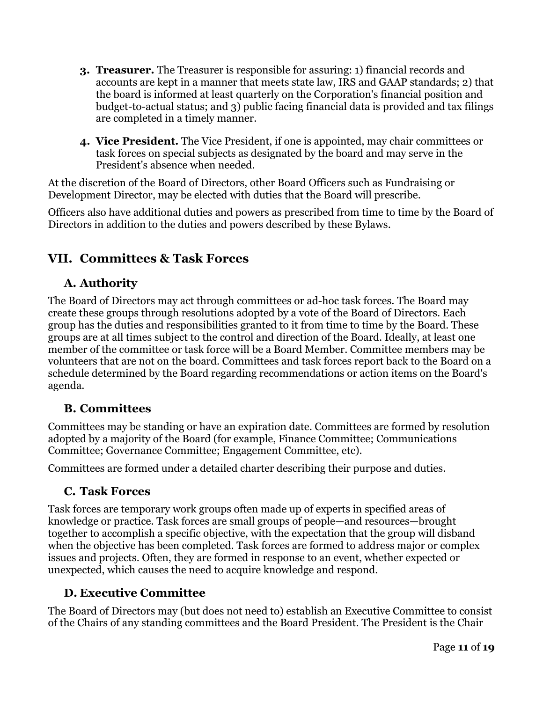- **3. Treasurer.** The Treasurer is responsible for assuring: 1) financial records and accounts are kept in a manner that meets state law, IRS and GAAP standards; 2) that the board is informed at least quarterly on the Corporation's financial position and budget-to-actual status; and 3) public facing financial data is provided and tax filings are completed in a timely manner.
- **4. Vice President.** The Vice President, if one is appointed, may chair committees or task forces on special subjects as designated by the board and may serve in the President's absence when needed.

At the discretion of the Board of Directors, other Board Officers such as Fundraising or Development Director, may be elected with duties that the Board will prescribe.

Officers also have additional duties and powers as prescribed from time to time by the Board of Directors in addition to the duties and powers described by these Bylaws.

# **VII. Committees & Task Forces**

### **A. Authority**

The Board of Directors may act through committees or ad-hoc task forces. The Board may create these groups through resolutions adopted by a vote of the Board of Directors. Each group has the duties and responsibilities granted to it from time to time by the Board. These groups are at all times subject to the control and direction of the Board. Ideally, at least one member of the committee or task force will be a Board Member. Committee members may be volunteers that are not on the board. Committees and task forces report back to the Board on a schedule determined by the Board regarding recommendations or action items on the Board's agenda.

### **B. Committees**

Committees may be standing or have an expiration date. Committees are formed by resolution adopted by a majority of the Board (for example, Finance Committee; Communications Committee; Governance Committee; Engagement Committee, etc).

Committees are formed under a detailed charter describing their purpose and duties.

#### **C. Task Forces**

Task forces are temporary work groups often made up of experts in specified areas of knowledge or practice. Task forces are small groups of people—and resources—brought together to accomplish a specific objective, with the expectation that the group will disband when the objective has been completed. Task forces are formed to address major or complex issues and projects. Often, they are formed in response to an event, whether expected or unexpected, which causes the need to acquire knowledge and respond.

### **D. Executive Committee**

The Board of Directors may (but does not need to) establish an Executive Committee to consist of the Chairs of any standing committees and the Board President. The President is the Chair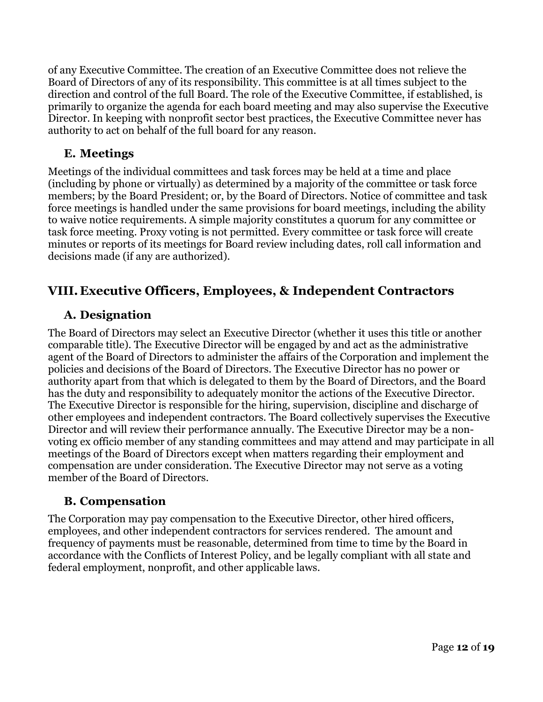of any Executive Committee. The creation of an Executive Committee does not relieve the Board of Directors of any of its responsibility. This committee is at all times subject to the direction and control of the full Board. The role of the Executive Committee, if established, is primarily to organize the agenda for each board meeting and may also supervise the Executive Director. In keeping with nonprofit sector best practices, the Executive Committee never has authority to act on behalf of the full board for any reason.

#### **E. Meetings**

Meetings of the individual committees and task forces may be held at a time and place (including by phone or virtually) as determined by a majority of the committee or task force members; by the Board President; or, by the Board of Directors. Notice of committee and task force meetings is handled under the same provisions for board meetings, including the ability to waive notice requirements. A simple majority constitutes a quorum for any committee or task force meeting. Proxy voting is not permitted. Every committee or task force will create minutes or reports of its meetings for Board review including dates, roll call information and decisions made (if any are authorized).

### **VIII. Executive Officers, Employees, & Independent Contractors**

#### **A. Designation**

The Board of Directors may select an Executive Director (whether it uses this title or another comparable title). The Executive Director will be engaged by and act as the administrative agent of the Board of Directors to administer the affairs of the Corporation and implement the policies and decisions of the Board of Directors. The Executive Director has no power or authority apart from that which is delegated to them by the Board of Directors, and the Board has the duty and responsibility to adequately monitor the actions of the Executive Director. The Executive Director is responsible for the hiring, supervision, discipline and discharge of other employees and independent contractors. The Board collectively supervises the Executive Director and will review their performance annually. The Executive Director may be a nonvoting ex officio member of any standing committees and may attend and may participate in all meetings of the Board of Directors except when matters regarding their employment and compensation are under consideration. The Executive Director may not serve as a voting member of the Board of Directors.

#### **B. Compensation**

The Corporation may pay compensation to the Executive Director, other hired officers, employees, and other independent contractors for services rendered. The amount and frequency of payments must be reasonable, determined from time to time by the Board in accordance with the Conflicts of Interest Policy, and be legally compliant with all state and federal employment, nonprofit, and other applicable laws.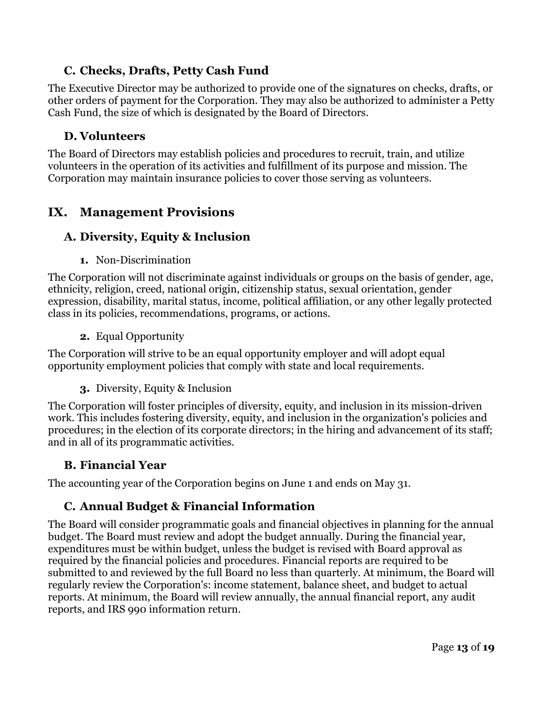### **C. Checks, Drafts, Petty Cash Fund**

The Executive Director may be authorized to provide one of the signatures on checks, drafts, or other orders of payment for the Corporation. They may also be authorized to administer a Petty Cash Fund, the size of which is designated by the Board of Directors.

#### **D. Volunteers**

The Board of Directors may establish policies and procedures to recruit, train, and utilize volunteers in the operation of its activities and fulfillment of its purpose and mission. The Corporation may maintain insurance policies to cover those serving as volunteers.

### **IX. Management Provisions**

### **A. Diversity, Equity & Inclusion**

**1.** Non-Discrimination

The Corporation will not discriminate against individuals or groups on the basis of gender, age, ethnicity, religion, creed, national origin, citizenship status, sexual orientation, gender expression, disability, marital status, income, political affiliation, or any other legally protected class in its policies, recommendations, programs, or actions.

**2.** Equal Opportunity

The Corporation will strive to be an equal opportunity employer and will adopt equal opportunity employment policies that comply with state and local requirements.

**3.** Diversity, Equity & Inclusion

The Corporation will foster principles of diversity, equity, and inclusion in its mission-driven work. This includes fostering diversity, equity, and inclusion in the organization's policies and procedures; in the election of its corporate directors; in the hiring and advancement of its staff; and in all of its programmatic activities.

#### **B. Financial Year**

The accounting year of the Corporation begins on June 1 and ends on May 31.

#### **C. Annual Budget & Financial Information**

The Board will consider programmatic goals and financial objectives in planning for the annual budget. The Board must review and adopt the budget annually. During the financial year, expenditures must be within budget, unless the budget is revised with Board approval as required by the financial policies and procedures. Financial reports are required to be submitted to and reviewed by the full Board no less than quarterly. At minimum, the Board will regularly review the Corporation's: income statement, balance sheet, and budget to actual reports. At minimum, the Board will review annually, the annual financial report, any audit reports, and IRS 990 information return.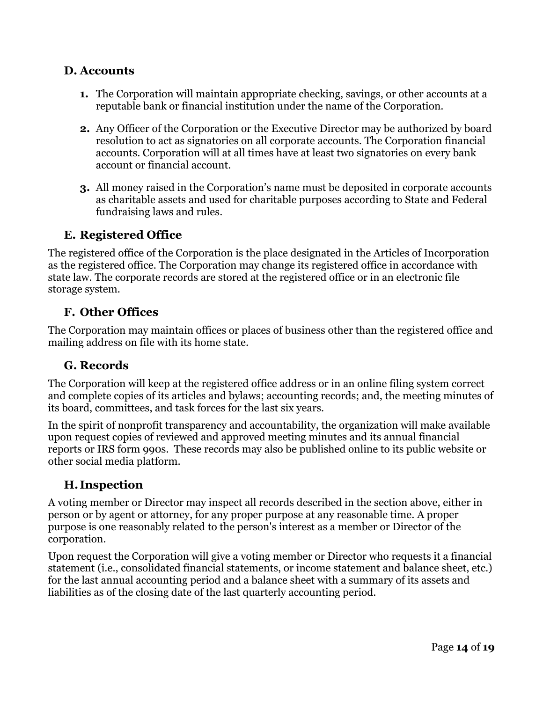#### **D. Accounts**

- **1.** The Corporation will maintain appropriate checking, savings, or other accounts at a reputable bank or financial institution under the name of the Corporation.
- **2.** Any Officer of the Corporation or the Executive Director may be authorized by board resolution to act as signatories on all corporate accounts. The Corporation financial accounts. Corporation will at all times have at least two signatories on every bank account or financial account.
- **3.** All money raised in the Corporation's name must be deposited in corporate accounts as charitable assets and used for charitable purposes according to State and Federal fundraising laws and rules.

#### **E. Registered Office**

The registered office of the Corporation is the place designated in the Articles of Incorporation as the registered office. The Corporation may change its registered office in accordance with state law. The corporate records are stored at the registered office or in an electronic file storage system.

#### **F. Other Offices**

The Corporation may maintain offices or places of business other than the registered office and mailing address on file with its home state.

#### **G. Records**

The Corporation will keep at the registered office address or in an online filing system correct and complete copies of its articles and bylaws; accounting records; and, the meeting minutes of its board, committees, and task forces for the last six years.

In the spirit of nonprofit transparency and accountability, the organization will make available upon request copies of reviewed and approved meeting minutes and its annual financial reports or IRS form 990s. These records may also be published online to its public website or other social media platform.

#### **H. Inspection**

A voting member or Director may inspect all records described in the section above, either in person or by agent or attorney, for any proper purpose at any reasonable time. A proper purpose is one reasonably related to the person's interest as a member or Director of the corporation.

Upon request the Corporation will give a voting member or Director who requests it a financial statement (i.e., consolidated financial statements, or income statement and balance sheet, etc.) for the last annual accounting period and a balance sheet with a summary of its assets and liabilities as of the closing date of the last quarterly accounting period.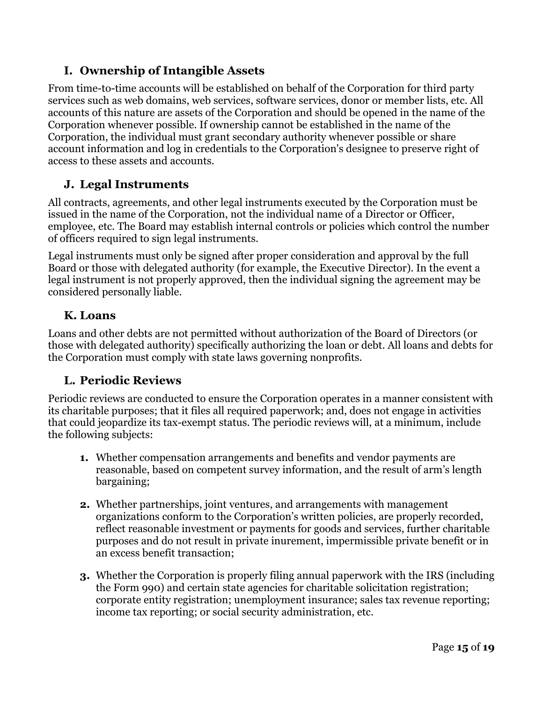### **I. Ownership of Intangible Assets**

From time-to-time accounts will be established on behalf of the Corporation for third party services such as web domains, web services, software services, donor or member lists, etc. All accounts of this nature are assets of the Corporation and should be opened in the name of the Corporation whenever possible. If ownership cannot be established in the name of the Corporation, the individual must grant secondary authority whenever possible or share account information and log in credentials to the Corporation's designee to preserve right of access to these assets and accounts.

### **J. Legal Instruments**

All contracts, agreements, and other legal instruments executed by the Corporation must be issued in the name of the Corporation, not the individual name of a Director or Officer, employee, etc. The Board may establish internal controls or policies which control the number of officers required to sign legal instruments.

Legal instruments must only be signed after proper consideration and approval by the full Board or those with delegated authority (for example, the Executive Director). In the event a legal instrument is not properly approved, then the individual signing the agreement may be considered personally liable.

### **K. Loans**

Loans and other debts are not permitted without authorization of the Board of Directors (or those with delegated authority) specifically authorizing the loan or debt. All loans and debts for the Corporation must comply with state laws governing nonprofits.

### **L. Periodic Reviews**

Periodic reviews are conducted to ensure the Corporation operates in a manner consistent with its charitable purposes; that it files all required paperwork; and, does not engage in activities that could jeopardize its tax-exempt status. The periodic reviews will, at a minimum, include the following subjects:

- **1.** Whether compensation arrangements and benefits and vendor payments are reasonable, based on competent survey information, and the result of arm's length bargaining;
- **2.** Whether partnerships, joint ventures, and arrangements with management organizations conform to the Corporation's written policies, are properly recorded, reflect reasonable investment or payments for goods and services, further charitable purposes and do not result in private inurement, impermissible private benefit or in an excess benefit transaction;
- **3.** Whether the Corporation is properly filing annual paperwork with the IRS (including the Form 990) and certain state agencies for charitable solicitation registration; corporate entity registration; unemployment insurance; sales tax revenue reporting; income tax reporting; or social security administration, etc.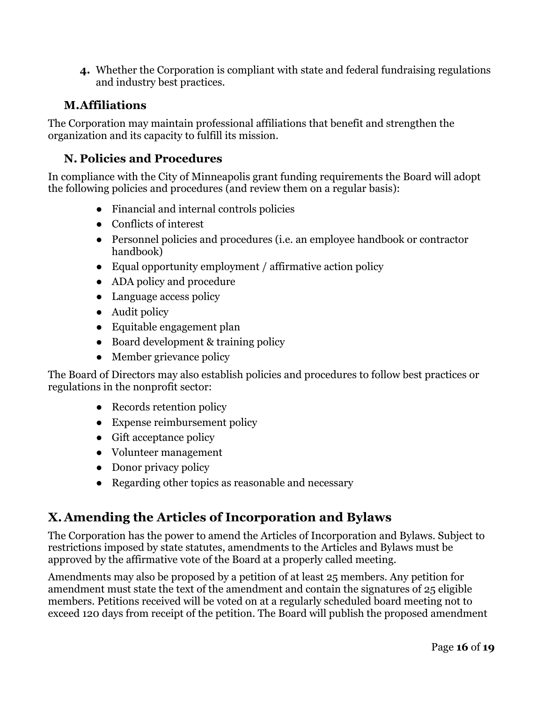**4.** Whether the Corporation is compliant with state and federal fundraising regulations and industry best practices.

#### **M.Affiliations**

The Corporation may maintain professional affiliations that benefit and strengthen the organization and its capacity to fulfill its mission.

### **N. Policies and Procedures**

In compliance with the City of Minneapolis grant funding requirements the Board will adopt the following policies and procedures (and review them on a regular basis):

- Financial and internal controls policies
- Conflicts of interest
- Personnel policies and procedures (i.e. an employee handbook or contractor handbook)
- Equal opportunity employment / affirmative action policy
- ADA policy and procedure
- Language access policy
- Audit policy
- Equitable engagement plan
- Board development & training policy
- Member grievance policy

The Board of Directors may also establish policies and procedures to follow best practices or regulations in the nonprofit sector:

- Records retention policy
- Expense reimbursement policy
- Gift acceptance policy
- Volunteer management
- Donor privacy policy
- Regarding other topics as reasonable and necessary

# **X. Amending the Articles of Incorporation and Bylaws**

The Corporation has the power to amend the Articles of Incorporation and Bylaws. Subject to restrictions imposed by state statutes, amendments to the Articles and Bylaws must be approved by the affirmative vote of the Board at a properly called meeting.

Amendments may also be proposed by a petition of at least 25 members. Any petition for amendment must state the text of the amendment and contain the signatures of 25 eligible members. Petitions received will be voted on at a regularly scheduled board meeting not to exceed 120 days from receipt of the petition. The Board will publish the proposed amendment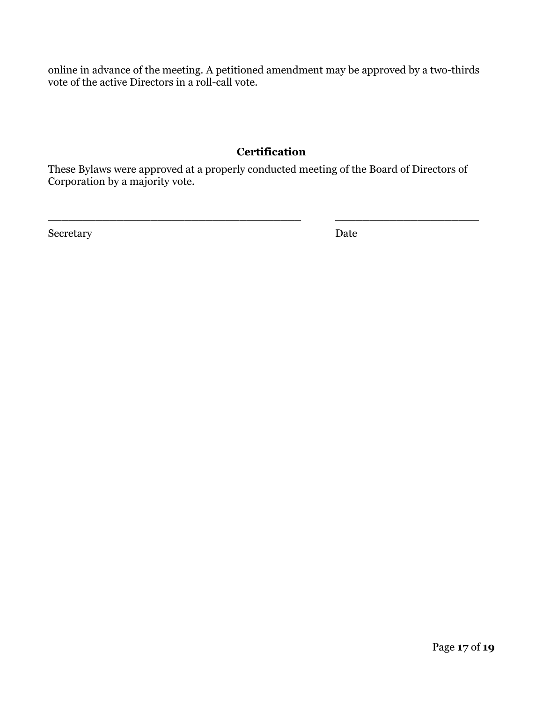online in advance of the meeting. A petitioned amendment may be approved by a two-thirds vote of the active Directors in a roll-call vote.

#### **Certification**

These Bylaws were approved at a properly conducted meeting of the Board of Directors of Corporation by a majority vote.

 $\_$  , and the set of the set of the set of the set of the set of the set of the set of the set of the set of the set of the set of the set of the set of the set of the set of the set of the set of the set of the set of th

Secretary Date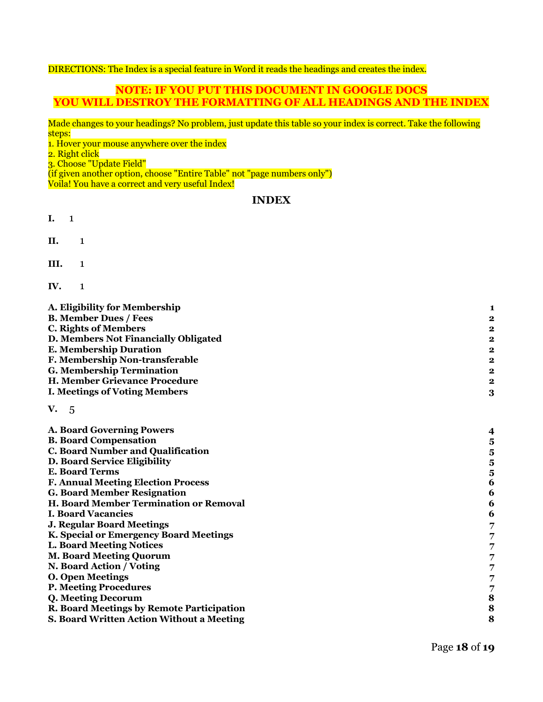#### DIRECTIONS: The Index is a special feature in Word it reads the headings and creates the index.

#### **NOTE: IF YOU PUT THIS DOCUMENT IN GOOGLE DOCS YOU WILL DESTROY THE FORMATTING OF ALL HEADINGS AND THE INDEX**

Made changes to your headings? No problem, just update this table so your index is correct. Take the following steps:

1. Hover your mouse anywhere over the index

2. Right click

3. Choose "Update Field"

3. Choose Update Field<br>(if given another option, choose "Entire Table" not "page numbers only")

Voila! You have a correct and very useful Index!

#### **INDEX**

- **I.** 1
- **II.** 1
- **III.** 1
- **IV.** 1

| A. Eligibility for Membership             | 1                        |
|-------------------------------------------|--------------------------|
| <b>B. Member Dues / Fees</b>              | 2                        |
| <b>C. Rights of Members</b>               | $\overline{\mathbf{c}}$  |
| D. Members Not Financially Obligated      | $\overline{\mathbf{2}}$  |
| <b>E. Membership Duration</b>             | $\overline{\mathbf{2}}$  |
| F. Membership Non-transferable            | 2                        |
| <b>G. Membership Termination</b>          | 2                        |
| H. Member Grievance Procedure             | $\overline{\mathbf{2}}$  |
| <b>I. Meetings of Voting Members</b>      | 3                        |
| V. 5                                      |                          |
| <b>A. Board Governing Powers</b>          | $\overline{\mathcal{A}}$ |
| <b>B. Board Compensation</b>              | 5                        |
| <b>C. Board Number and Qualification</b>  | $\overline{\mathbf{5}}$  |
| D. Board Service Eligibility              | $\overline{\mathbf{5}}$  |
| <b>E. Board Terms</b>                     | $\overline{\mathbf{5}}$  |
| <b>F. Annual Meeting Election Process</b> | 6                        |
| <b>G. Board Member Resignation</b>        | 6                        |
| H. Board Member Termination or Removal    | 6                        |
| <b>I. Board Vacancies</b>                 | 6                        |
| <b>J. Regular Board Meetings</b>          | 7                        |
| K. Special or Emergency Board Meetings    | 7                        |
| <b>L. Board Meeting Notices</b>           | 7                        |
| <b>M. Board Meeting Quorum</b>            | 7                        |
| N. Board Action / Voting                  | 7                        |
| <b>O. Open Meetings</b>                   | 7                        |
| <b>P. Meeting Procedures</b>              |                          |
| Q. Meeting Decorum                        | $\frac{7}{8}$            |
| R. Board Meetings by Remote Participation | 8                        |
| S. Board Written Action Without a Meeting | 8                        |
|                                           |                          |